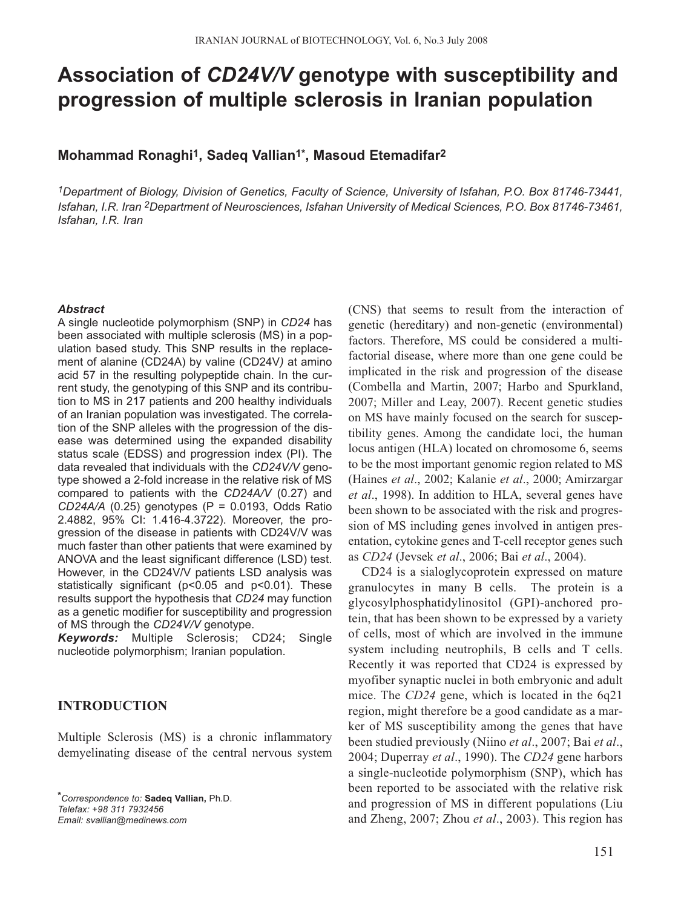# **Association of** *CD24V/V* **genotype with susceptibility and progression of multiple sclerosis in Iranian population**

## **Mohammad Ronaghi1, Sadeq Vallian1\*, Masoud Etemadifar2**

*1Department of Biology, Division of Genetics, Faculty of Science, University of Isfahan, P.O. Box 81746-73441, Isfahan, I.R. Iran 2Department of Neurosciences, Isfahan University of Medical Sciences, P.O. Box 81746-73461, Isfahan, I.R. Iran* 

#### *Abstract*

A single nucleotide polymorphism (SNP) in *CD24* has been associated with multiple sclerosis (MS) in a population based study. This SNP results in the replacement of alanine (CD24A) by valine (CD24V*)* at amino acid 57 in the resulting polypeptide chain. In the current study, the genotyping of this SNP and its contribution to MS in 217 patients and 200 healthy individuals of an Iranian population was investigated. The correlation of the SNP alleles with the progression of the disease was determined using the expanded disability status scale (EDSS) and progression index (PI). The data revealed that individuals with the *CD24V/V* genotype showed a 2-fold increase in the relative risk of MS compared to patients with the *CD24A/V* (0.27) and *CD24A/A* (0.25) genotypes (P = 0.0193, Odds Ratio 2.4882, 95% CI: 1.416-4.3722). Moreover, the progression of the disease in patients with CD24V/V was much faster than other patients that were examined by ANOVA and the least significant difference (LSD) test. However, in the CD24V/V patients LSD analysis was statistically significant (p<0.05 and p<0.01). These results support the hypothesis that *CD24* may function as a genetic modifier for susceptibility and progression of MS through the *CD24V/V* genotype.

*Keywords:* Multiple Sclerosis; CD24; Single nucleotide polymorphism; Iranian population.

## **INTRODUCTION**

Multiple Sclerosis (MS) is a chronic inflammatory demyelinating disease of the central nervous system

*\*Correspondence to:* **Sadeq Vallian,** Ph.D. *Telefax: +98 311 7932456 Email: svallian@medinews.com*

(CNS) that seems to result from the interaction of genetic (hereditary) and non-genetic (environmental) factors. Therefore, MS could be considered a multifactorial disease, where more than one gene could be implicated in the risk and progression of the disease (Combella and Martin, 2007; Harbo and Spurkland, 2007; Miller and Leay, 2007). Recent genetic studies on MS have mainly focused on the search for susceptibility genes. Among the candidate loci, the human locus antigen (HLA) located on chromosome 6, seems to be the most important genomic region related to MS (Haines *et al*., 2002; Kalanie *et al*., 2000; Amirzargar *et al*., 1998). In addition to HLA, several genes have been shown to be associated with the risk and progression of MS including genes involved in antigen presentation, cytokine genes and T-cell receptor genes such as *CD24* (Jevsek *et al*., 2006; Bai *et al*., 2004).

CD24 is a sialoglycoprotein expressed on mature granulocytes in many B cells. The protein is a glycosylphosphatidylinositol (GPI)-anchored protein, that has been shown to be expressed by a variety of cells, most of which are involved in the immune system including neutrophils, B cells and T cells. Recently it was reported that CD24 is expressed by myofiber synaptic nuclei in both embryonic and adult mice. The *CD24* gene, which is located in the 6q21 region, might therefore be a good candidate as a marker of MS susceptibility among the genes that have been studied previously (Niino *et al*., 2007; Bai *et al*., 2004; Duperray *et al*., 1990). The *CD24* gene harbors a single-nucleotide polymorphism (SNP), which has been reported to be associated with the relative risk and progression of MS in different populations (Liu and Zheng, 2007; Zhou *et al*., 2003). This region has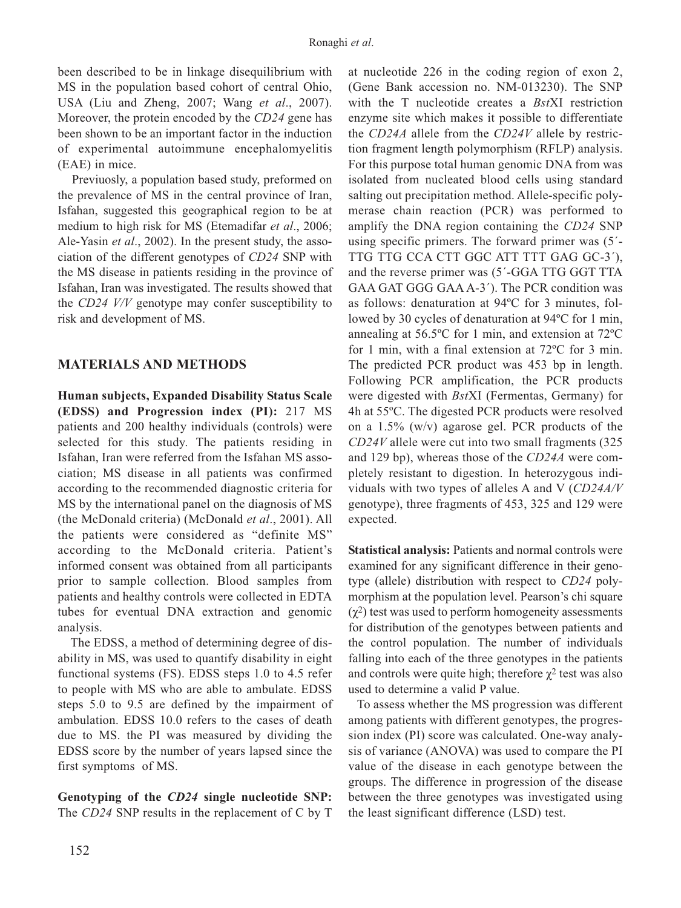been described to be in linkage disequilibrium with MS in the population based cohort of central Ohio, USA (Liu and Zheng, 2007; Wang *et al*., 2007). Moreover, the protein encoded by the *CD24* gene has been shown to be an important factor in the induction of experimental autoimmune encephalomyelitis (EAE) in mice.

Previuosly, a population based study, preformed on the prevalence of MS in the central province of Iran, Isfahan, suggested this geographical region to be at medium to high risk for MS (Etemadifar *et al*., 2006; Ale-Yasin *et al*., 2002). In the present study, the association of the different genotypes of *CD24* SNP with the MS disease in patients residing in the province of Isfahan, Iran was investigated. The results showed that the *CD24 V/V* genotype may confer susceptibility to risk and development of MS.

### **MATERIALS AND METHODS**

**Human subjects, Expanded Disability Status Scale (EDSS) and Progression index (PI):** 217 MS patients and 200 healthy individuals (controls) were selected for this study. The patients residing in Isfahan, Iran were referred from the Isfahan MS association; MS disease in all patients was confirmed according to the recommended diagnostic criteria for MS by the international panel on the diagnosis of MS (the McDonald criteria) (McDonald *et al*., 2001). All the patients were considered as "definite MS" according to the McDonald criteria. Patient's informed consent was obtained from all participants prior to sample collection. Blood samples from patients and healthy controls were collected in EDTA tubes for eventual DNA extraction and genomic analysis.

The EDSS, a method of determining degree of disability in MS, was used to quantify disability in eight functional systems (FS). EDSS steps 1.0 to 4.5 refer to people with MS who are able to ambulate. EDSS steps 5.0 to 9.5 are defined by the impairment of ambulation. EDSS 10.0 refers to the cases of death due to MS. the PI was measured by dividing the EDSS score by the number of years lapsed since the first symptoms of MS.

**Genotyping of the** *CD24* **single nucleotide SNP:** The *CD24* SNP results in the replacement of C by T at nucleotide 226 in the coding region of exon 2, (Gene Bank accession no. NM-013230). The SNP with the T nucleotide creates a *Bst*XI restriction enzyme site which makes it possible to differentiate the *CD24A* allele from the *CD24V* allele by restriction fragment length polymorphism (RFLP) analysis. For this purpose total human genomic DNA from was isolated from nucleated blood cells using standard salting out precipitation method. Allele-specific polymerase chain reaction (PCR) was performed to amplify the DNA region containing the *CD24* SNP using specific primers. The forward primer was (5´- TTG TTG CCA CTT GGC ATT TTT GAG GC-3´), and the reverse primer was (5´-GGA TTG GGT TTA GAA GAT GGG GAA A-3´). The PCR condition was as follows: denaturation at 94ºC for 3 minutes, followed by 30 cycles of denaturation at 94ºC for 1 min, annealing at 56.5ºC for 1 min, and extension at 72ºC for 1 min, with a final extension at 72ºC for 3 min. The predicted PCR product was 453 bp in length. Following PCR amplification, the PCR products were digested with *Bst*XI (Fermentas, Germany) for 4h at 55ºC. The digested PCR products were resolved on a 1.5% (w/v) agarose gel. PCR products of the *CD24V* allele were cut into two small fragments (325 and 129 bp), whereas those of the *CD24A* were completely resistant to digestion. In heterozygous individuals with two types of alleles A and V (*CD24A/V* genotype), three fragments of 453, 325 and 129 were expected.

**Statistical analysis:** Patients and normal controls were examined for any significant difference in their genotype (allele) distribution with respect to *CD24* polymorphism at the population level. Pearson's chi square  $(χ<sup>2</sup>)$  test was used to perform homogeneity assessments for distribution of the genotypes between patients and the control population. The number of individuals falling into each of the three genotypes in the patients and controls were quite high; therefore  $\chi^2$  test was also used to determine a valid P value.

To assess whether the MS progression was different among patients with different genotypes, the progression index (PI) score was calculated. One-way analysis of variance (ANOVA) was used to compare the PI value of the disease in each genotype between the groups. The difference in progression of the disease between the three genotypes was investigated using the least significant difference (LSD) test.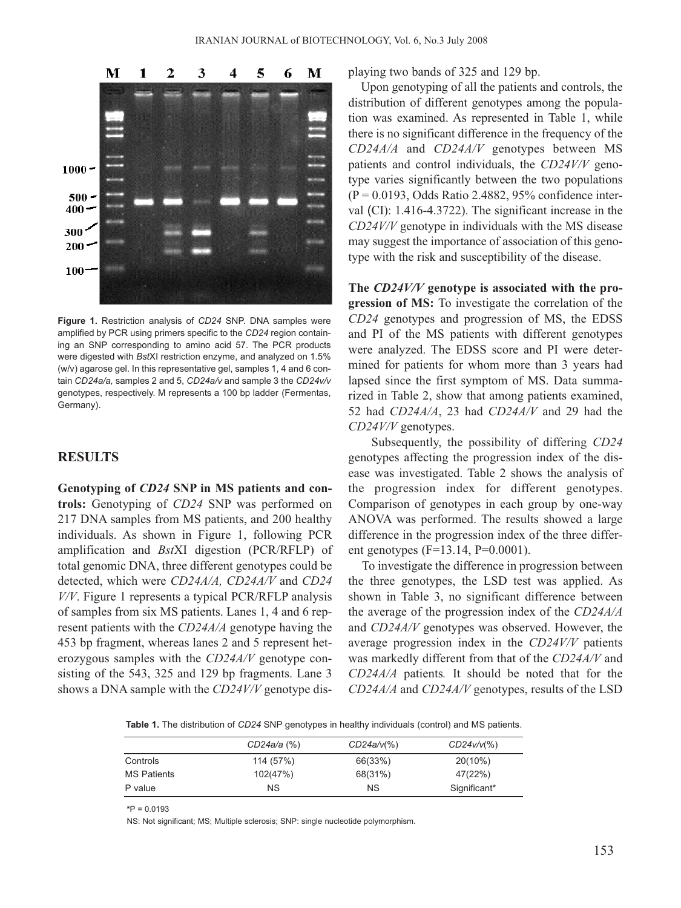

**Figure 1.** Restriction analysis of *CD24* SNP. DNA samples were amplified by PCR using primers specific to the *CD24* region containing an SNP corresponding to amino acid 57. The PCR products were digested with *Bst*XI restriction enzyme, and analyzed on 1.5% (w/v) agarose gel. In this representative gel, samples 1, 4 and 6 contain *CD24a/a,* samples 2 and 5, *CD24a/v* and sample 3 the *CD24v/v* genotypes, respectively. M represents a 100 bp ladder (Fermentas, Germany).

## **RESULTS**

**Genotyping of** *CD24* **SNP in MS patients and controls:** Genotyping of *CD24* SNP was performed on 217 DNA samples from MS patients, and 200 healthy individuals. As shown in Figure 1, following PCR amplification and *Bst*XI digestion (PCR/RFLP) of total genomic DNA, three different genotypes could be detected, which were *CD24A/A, CD24A/V* and *CD24 V/V*. Figure 1 represents a typical PCR/RFLP analysis of samples from six MS patients. Lanes 1, 4 and 6 represent patients with the *CD24A/A* genotype having the 453 bp fragment, whereas lanes 2 and 5 represent heterozygous samples with the *CD24A/V* genotype consisting of the 543, 325 and 129 bp fragments. Lane 3 shows a DNA sample with the *CD24V/V* genotype displaying two bands of 325 and 129 bp.

Upon genotyping of all the patients and controls, the distribution of different genotypes among the population was examined. As represented in Table 1, while there is no significant difference in the frequency of the *CD24A/A* and *CD24A/V* genotypes between MS patients and control individuals, the *CD24V/V* genotype varies significantly between the two populations  $(P = 0.0193, Odds Ratio 2.4882, 95\% confidence inter$ val (CI): 1.416-4.3722). The significant increase in the *CD24V/V* genotype in individuals with the MS disease may suggest the importance of association of this genotype with the risk and susceptibility of the disease.

**The** *CD24V/V* **genotype is associated with the progression of MS:** To investigate the correlation of the *CD24* genotypes and progression of MS, the EDSS and PI of the MS patients with different genotypes were analyzed. The EDSS score and PI were determined for patients for whom more than 3 years had lapsed since the first symptom of MS. Data summarized in Table 2, show that among patients examined, 52 had *CD24A/A*, 23 had *CD24A/V* and 29 had the *CD24V/V* genotypes.

Subsequently, the possibility of differing *CD24* genotypes affecting the progression index of the disease was investigated. Table 2 shows the analysis of the progression index for different genotypes. Comparison of genotypes in each group by one-way ANOVA was performed. The results showed a large difference in the progression index of the three different genotypes ( $F=13.14$ ,  $P=0.0001$ ).

To investigate the difference in progression between the three genotypes, the LSD test was applied. As shown in Table 3, no significant difference between the average of the progression index of the *CD24A/A* and *CD24A/V* genotypes was observed. However, the average progression index in the *CD24V/V* patients was markedly different from that of the *CD24A/V* and *CD24A/A* patients*.* It should be noted that for the *CD24A/A* and *CD24A/V* genotypes, results of the LSD

**Table 1.** The distribution of *CD24* SNP genotypes in healthy individuals (control) and MS patients.

|             | CD24a/a (%) | $CD24a/v(\%)$ | $CD24v/v$ (%) |  |
|-------------|-------------|---------------|---------------|--|
| Controls    | 114 (57%)   | 66(33%)       | $20(10\%)$    |  |
| MS Patients | 102(47%)    | 68(31%)       | 47(22%)       |  |
| P value     | ΝS          | ΝS            | Significant*  |  |

**\***P = 0.0193

NS: Not significant; MS; Multiple sclerosis; SNP: single nucleotide polymorphism.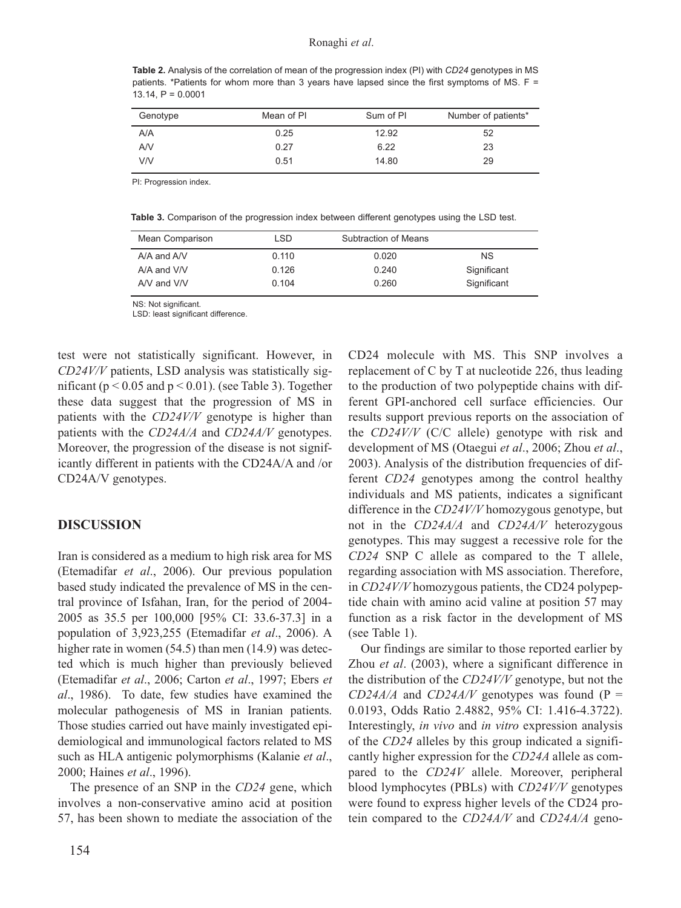**Table 2.** Analysis of the correlation of mean of the progression index (PI) with *CD24* genotypes in MS patients. \*Patients for whom more than 3 years have lapsed since the first symptoms of MS. F = 13.14,  $P = 0.0001$ 

| Genotype | Mean of PI | Sum of PI | Number of patients* |
|----------|------------|-----------|---------------------|
| A/A      | 0.25       | 12.92     | 52                  |
| AV       | 0.27       | 6.22      | 23                  |
| V/V      | 0.51       | 14.80     | 29                  |

PI: Progression index.

**Table 3.** Comparison of the progression index between different genotypes using the LSD test.

| Mean Comparison | LSD.  | <b>Subtraction of Means</b> |             |
|-----------------|-------|-----------------------------|-------------|
| $A/A$ and $A/V$ | 0.110 | 0.020                       | <b>NS</b>   |
| $A/A$ and $V/V$ | 0.126 | 0.240                       | Significant |
| A/V and V/V     | 0.104 | 0.260                       | Significant |

NS: Not significant.

LSD: least significant difference.

test were not statistically significant. However, in *CD24V/V* patients, LSD analysis was statistically significant ( $p < 0.05$  and  $p < 0.01$ ). (see Table 3). Together these data suggest that the progression of MS in patients with the *CD24V/V* genotype is higher than patients with the *CD24A/A* and *CD24A/V* genotypes. Moreover, the progression of the disease is not significantly different in patients with the CD24A/A and /or CD24A/V genotypes.

#### **DISCUSSION**

Iran is considered as a medium to high risk area for MS (Etemadifar *et al*., 2006). Our previous population based study indicated the prevalence of MS in the central province of Isfahan, Iran, for the period of 2004- 2005 as 35.5 per 100,000 [95% CI: 33.6-37.3] in a population of 3,923,255 (Etemadifar *et al*., 2006). A higher rate in women (54.5) than men (14.9) was detected which is much higher than previously believed (Etemadifar *et al*., 2006; Carton *et al*., 1997; Ebers *et al*., 1986). To date, few studies have examined the molecular pathogenesis of MS in Iranian patients. Those studies carried out have mainly investigated epidemiological and immunological factors related to MS such as HLA antigenic polymorphisms (Kalanie *et al*., 2000; Haines *et al*., 1996).

The presence of an SNP in the *CD24* gene, which involves a non-conservative amino acid at position 57, has been shown to mediate the association of the CD24 molecule with MS. This SNP involves a replacement of C by T at nucleotide 226, thus leading to the production of two polypeptide chains with different GPI-anchored cell surface efficiencies. Our results support previous reports on the association of the *CD24V/V* (C/C allele) genotype with risk and development of MS (Otaegui *et al*., 2006; Zhou *et al*., 2003). Analysis of the distribution frequencies of different *CD24* genotypes among the control healthy individuals and MS patients, indicates a significant difference in the *CD24V/V* homozygous genotype, but not in the *CD24A/A* and *CD24A/V* heterozygous genotypes. This may suggest a recessive role for the *CD24* SNP C allele as compared to the T allele, regarding association with MS association. Therefore, in *CD24V/V* homozygous patients, the CD24 polypeptide chain with amino acid valine at position 57 may function as a risk factor in the development of MS (see Table 1).

Our findings are similar to those reported earlier by Zhou *et al*. (2003), where a significant difference in the distribution of the *CD24V/V* genotype, but not the  $CD24A/A$  and  $CD24A/V$  genotypes was found (P = 0.0193, Odds Ratio 2.4882, 95% CI: 1.416-4.3722). Interestingly, *in vivo* and *in vitro* expression analysis of the *CD24* alleles by this group indicated a significantly higher expression for the *CD24A* allele as compared to the *CD24V* allele. Moreover, peripheral blood lymphocytes (PBLs) with *CD24V/V* genotypes were found to express higher levels of the CD24 protein compared to the *CD24A/V* and *CD24A/A* geno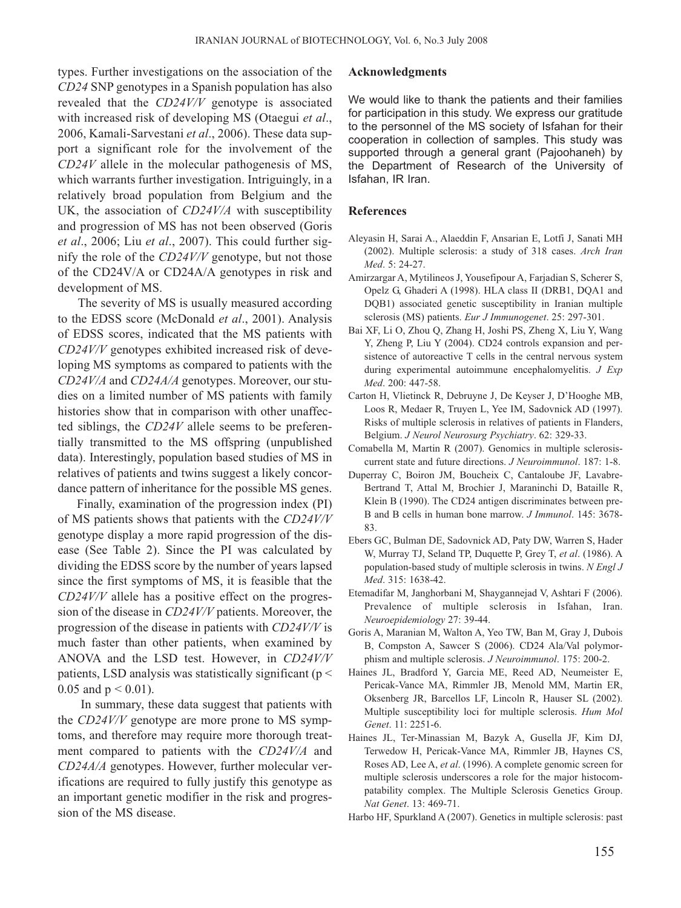types. Further investigations on the association of the *CD24* SNP genotypes in a Spanish population has also revealed that the *CD24V/V* genotype is associated with increased risk of developing MS (Otaegui *et al*., 2006, Kamali-Sarvestani *et al*., 2006). These data support a significant role for the involvement of the *CD24V* allele in the molecular pathogenesis of MS, which warrants further investigation. Intriguingly, in a relatively broad population from Belgium and the UK, the association of *CD24V/A* with susceptibility and progression of MS has not been observed (Goris *et al*., 2006; Liu *et al*., 2007). This could further signify the role of the *CD24V/V* genotype, but not those of the CD24V/A or CD24A/A genotypes in risk and development of MS.

The severity of MS is usually measured according to the EDSS score (McDonald *et al*., 2001). Analysis of EDSS scores, indicated that the MS patients with *CD24V/V* genotypes exhibited increased risk of developing MS symptoms as compared to patients with the *CD24V/A* and *CD24A/A* genotypes. Moreover, our studies on a limited number of MS patients with family histories show that in comparison with other unaffected siblings, the *CD24V* allele seems to be preferentially transmitted to the MS offspring (unpublished data). Interestingly, population based studies of MS in relatives of patients and twins suggest a likely concordance pattern of inheritance for the possible MS genes.

Finally, examination of the progression index (PI) of MS patients shows that patients with the *CD24V/V* genotype display a more rapid progression of the disease (See Table 2). Since the PI was calculated by dividing the EDSS score by the number of years lapsed since the first symptoms of MS, it is feasible that the *CD24V/V* allele has a positive effect on the progression of the disease in *CD24V/V* patients. Moreover, the progression of the disease in patients with *CD24V/V* is much faster than other patients, when examined by ANOVA and the LSD test. However, in *CD24V/V* patients, LSD analysis was statistically significant ( $p <$ 0.05 and  $p < 0.01$ ).

In summary, these data suggest that patients with the *CD24V/V* genotype are more prone to MS symptoms, and therefore may require more thorough treatment compared to patients with the *CD24V/A* and *CD24A/A* genotypes. However, further molecular verifications are required to fully justify this genotype as an important genetic modifier in the risk and progression of the MS disease.

#### **Acknowledgments**

We would like to thank the patients and their families for participation in this study. We express our gratitude to the personnel of the MS society of Isfahan for their cooperation in collection of samples. This study was supported through a general grant (Pajoohaneh) by the Department of Research of the University of Isfahan, IR Iran.

#### **References**

- Aleyasin H, Sarai A., Alaeddin F, Ansarian E, Lotfi J, Sanati MH (2002). Multiple sclerosis: a study of 318 cases. *Arch Iran Med*. 5: 24-27.
- Amirzargar A, Mytilineos J, Yousefipour A, Farjadian S, Scherer S, Opelz G, Ghaderi A (1998). HLA class II (DRB1, DQA1 and DQB1) associated genetic susceptibility in Iranian multiple sclerosis (MS) patients. *Eur J Immunogenet*. 25: 297-301.
- Bai XF, Li O, Zhou Q, Zhang H, Joshi PS, Zheng X, Liu Y, Wang Y, Zheng P, Liu Y (2004). CD24 controls expansion and persistence of autoreactive T cells in the central nervous system during experimental autoimmune encephalomyelitis. *J Exp Med*. 200: 447-58.
- Carton H, Vlietinck R, Debruyne J, De Keyser J, D'Hooghe MB, Loos R, Medaer R, Truyen L, Yee IM, Sadovnick AD (1997). Risks of multiple sclerosis in relatives of patients in Flanders, Belgium. *J Neurol Neurosurg Psychiatry*. 62: 329-33.
- Comabella M, Martin R (2007). Genomics in multiple sclerosiscurrent state and future directions. *J Neuroimmunol*. 187: 1-8.
- Duperray C, Boiron JM, Boucheix C, Cantaloube JF, Lavabre-Bertrand T, Attal M, Brochier J, Maraninchi D, Bataille R, Klein B (1990). The CD24 antigen discriminates between pre-B and B cells in human bone marrow. *J Immunol*. 145: 3678- 83.
- Ebers GC, Bulman DE, Sadovnick AD, Paty DW, Warren S, Hader W, Murray TJ, Seland TP, Duquette P, Grey T, *et al*. (1986). A population-based study of multiple sclerosis in twins. *N Engl J Med*. 315: 1638-42.
- Etemadifar M, Janghorbani M, Shaygannejad V, Ashtari F (2006). Prevalence of multiple sclerosis in Isfahan, Iran. *Neuroepidemiology* 27: 39-44.
- Goris A, Maranian M, Walton A, Yeo TW, Ban M, Gray J, Dubois B, Compston A, Sawcer S (2006). CD24 Ala/Val polymorphism and multiple sclerosis. *J Neuroimmunol*. 175: 200-2.
- Haines JL, Bradford Y, Garcia ME, Reed AD, Neumeister E, Pericak-Vance MA, Rimmler JB, Menold MM, Martin ER, Oksenberg JR, Barcellos LF, Lincoln R, Hauser SL (2002). Multiple susceptibility loci for multiple sclerosis. *Hum Mol Genet*. 11: 2251-6.
- Haines JL, Ter-Minassian M, Bazyk A, Gusella JF, Kim DJ, Terwedow H, Pericak-Vance MA, Rimmler JB, Haynes CS, Roses AD, Lee A, *et al*. (1996). A complete genomic screen for multiple sclerosis underscores a role for the major histocompatability complex. The Multiple Sclerosis Genetics Group. *Nat Genet*. 13: 469-71.
- Harbo HF, Spurkland A (2007). Genetics in multiple sclerosis: past